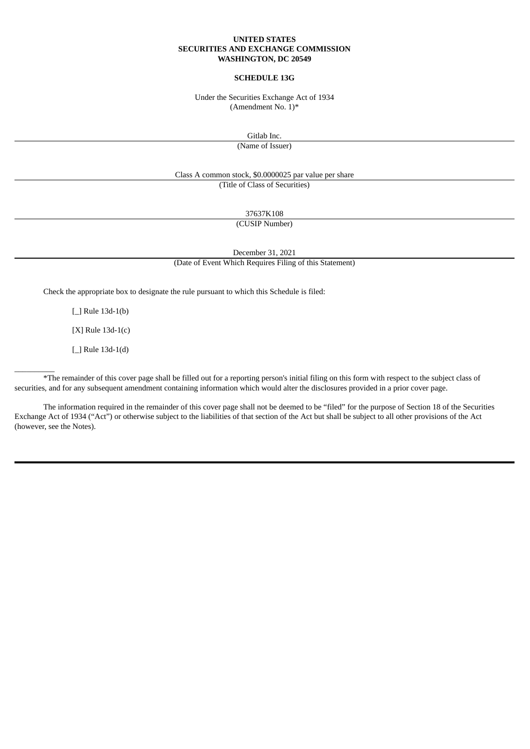#### **UNITED STATES SECURITIES AND EXCHANGE COMMISSION WASHINGTON, DC 20549**

#### **SCHEDULE 13G**

Under the Securities Exchange Act of 1934 (Amendment No. 1)\*

Gitlab Inc.

(Name of Issuer)

Class A common stock, \$0.0000025 par value per share (Title of Class of Securities)

37637K108

(CUSIP Number)

December 31, 2021

(Date of Event Which Requires Filing of this Statement)

Check the appropriate box to designate the rule pursuant to which this Schedule is filed:

[ ] Rule 13d-1(b)

[X] Rule 13d-1(c)

[\_] Rule 13d-1(d)

 $\overline{\phantom{a}}$  . The contract of  $\overline{\phantom{a}}$ 

\*The remainder of this cover page shall be filled out for a reporting person's initial filing on this form with respect to the subject class of securities, and for any subsequent amendment containing information which would alter the disclosures provided in a prior cover page.

The information required in the remainder of this cover page shall not be deemed to be "filed" for the purpose of Section 18 of the Securities Exchange Act of 1934 ("Act") or otherwise subject to the liabilities of that section of the Act but shall be subject to all other provisions of the Act (however, see the Notes).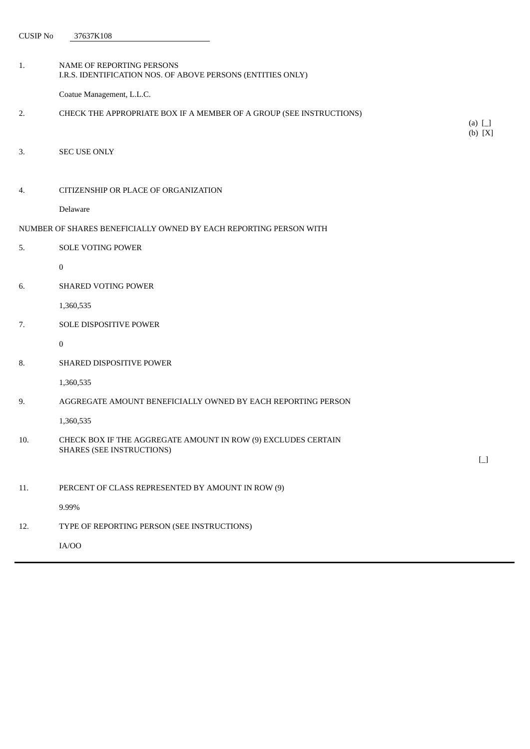CUSIP No 37637K108

1. NAME OF REPORTING PERSONS I.R.S. IDENTIFICATION NOS. OF ABOVE PERSONS (ENTITIES ONLY) Coatue Management, L.L.C. 2. CHECK THE APPROPRIATE BOX IF A MEMBER OF A GROUP (SEE INSTRUCTIONS) (a) [\_] (b) [X] 3. SEC USE ONLY 4. CITIZENSHIP OR PLACE OF ORGANIZATION Delaware NUMBER OF SHARES BENEFICIALLY OWNED BY EACH REPORTING PERSON WITH 5. SOLE VOTING POWER 0 6. SHARED VOTING POWER 1,360,535 7. SOLE DISPOSITIVE POWER 0 8. SHARED DISPOSITIVE POWER 1,360,535 9. AGGREGATE AMOUNT BENEFICIALLY OWNED BY EACH REPORTING PERSON 1,360,535 10. CHECK BOX IF THE AGGREGATE AMOUNT IN ROW (9) EXCLUDES CERTAIN SHARES (SEE INSTRUCTIONS)  $\Box$ 11. PERCENT OF CLASS REPRESENTED BY AMOUNT IN ROW (9) 9.99% 12. TYPE OF REPORTING PERSON (SEE INSTRUCTIONS)

IA/OO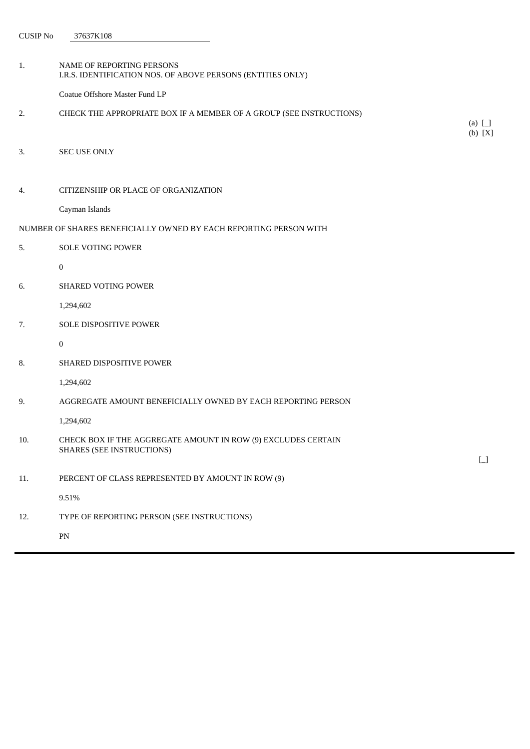CUSIP No 37637K108

- 1. NAME OF REPORTING PERSONS I.R.S. IDENTIFICATION NOS. OF ABOVE PERSONS (ENTITIES ONLY) Coatue Offshore Master Fund LP 2. CHECK THE APPROPRIATE BOX IF A MEMBER OF A GROUP (SEE INSTRUCTIONS) 3. SEC USE ONLY 4. CITIZENSHIP OR PLACE OF ORGANIZATION Cayman Islands NUMBER OF SHARES BENEFICIALLY OWNED BY EACH REPORTING PERSON WITH 5. SOLE VOTING POWER 0 6. SHARED VOTING POWER 1,294,602 7. SOLE DISPOSITIVE POWER 0 8. SHARED DISPOSITIVE POWER 1,294,602
- 9. AGGREGATE AMOUNT BENEFICIALLY OWNED BY EACH REPORTING PERSON

1,294,602

- 10. CHECK BOX IF THE AGGREGATE AMOUNT IN ROW (9) EXCLUDES CERTAIN SHARES (SEE INSTRUCTIONS)
- 11. PERCENT OF CLASS REPRESENTED BY AMOUNT IN ROW (9)

9.51%

12. TYPE OF REPORTING PERSON (SEE INSTRUCTIONS)

PN

 $\Box$ 

(a) [\_]  $(b)$   $[X]$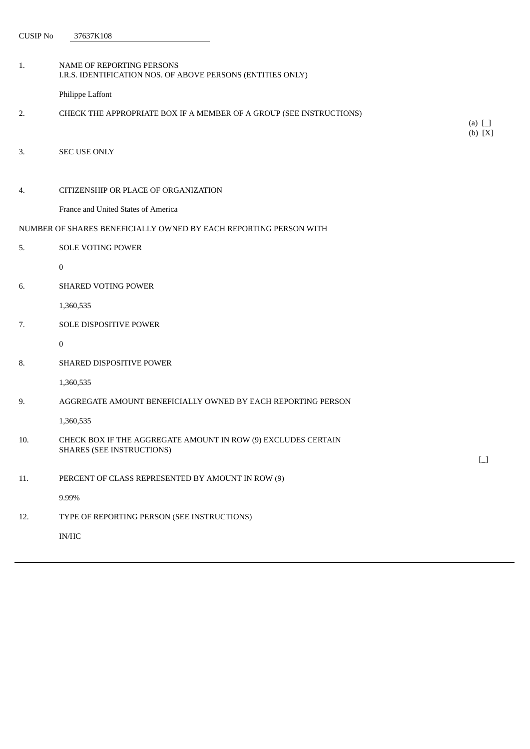CUSIP No 37637K108

| 1.  | NAME OF REPORTING PERSONS<br>I.R.S. IDENTIFICATION NOS. OF ABOVE PERSONS (ENTITIES ONLY) |                       |
|-----|------------------------------------------------------------------------------------------|-----------------------|
|     | Philippe Laffont                                                                         |                       |
| 2.  | CHECK THE APPROPRIATE BOX IF A MEMBER OF A GROUP (SEE INSTRUCTIONS)                      |                       |
|     |                                                                                          | (a) $\Box$<br>(b) [X] |
| 3.  | SEC USE ONLY                                                                             |                       |
|     |                                                                                          |                       |
| 4.  | CITIZENSHIP OR PLACE OF ORGANIZATION                                                     |                       |
|     | France and United States of America                                                      |                       |
|     | NUMBER OF SHARES BENEFICIALLY OWNED BY EACH REPORTING PERSON WITH                        |                       |
| 5.  | <b>SOLE VOTING POWER</b>                                                                 |                       |
|     | 0                                                                                        |                       |
| 6.  | <b>SHARED VOTING POWER</b>                                                               |                       |
|     | 1,360,535                                                                                |                       |
| 7.  | SOLE DISPOSITIVE POWER                                                                   |                       |
|     | $\boldsymbol{0}$                                                                         |                       |
| 8.  | SHARED DISPOSITIVE POWER                                                                 |                       |
|     | 1,360,535                                                                                |                       |
| 9.  | AGGREGATE AMOUNT BENEFICIALLY OWNED BY EACH REPORTING PERSON                             |                       |
|     | 1,360,535                                                                                |                       |
| 10. | CHECK BOX IF THE AGGREGATE AMOUNT IN ROW (9) EXCLUDES CERTAIN                            |                       |
|     | <b>SHARES (SEE INSTRUCTIONS)</b>                                                         | $\boxed{\phantom{0}}$ |
| 11. | PERCENT OF CLASS REPRESENTED BY AMOUNT IN ROW (9)                                        |                       |
|     | 9.99%                                                                                    |                       |
| 12. | TYPE OF REPORTING PERSON (SEE INSTRUCTIONS)                                              |                       |
|     | $\mathbf{IN}/\mathbf{HC}$                                                                |                       |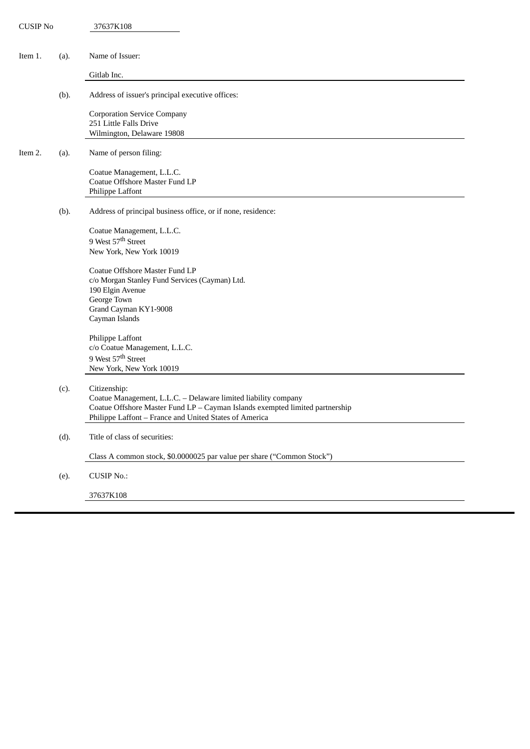| <b>CUSIP No</b> |      | 37637K108                                                                                                                                                                                                                |
|-----------------|------|--------------------------------------------------------------------------------------------------------------------------------------------------------------------------------------------------------------------------|
| Item 1.         | (a). | Name of Issuer:                                                                                                                                                                                                          |
|                 |      | Gitlab Inc.                                                                                                                                                                                                              |
|                 | (b). | Address of issuer's principal executive offices:                                                                                                                                                                         |
|                 |      | <b>Corporation Service Company</b><br>251 Little Falls Drive<br>Wilmington, Delaware 19808                                                                                                                               |
| Item 2.         | (a). | Name of person filing:                                                                                                                                                                                                   |
|                 |      | Coatue Management, L.L.C.<br>Coatue Offshore Master Fund LP<br>Philippe Laffont                                                                                                                                          |
|                 | (b). | Address of principal business office, or if none, residence:                                                                                                                                                             |
|                 |      | Coatue Management, L.L.C.<br>9 West 57 <sup>th</sup> Street<br>New York, New York 10019                                                                                                                                  |
|                 |      | Coatue Offshore Master Fund LP<br>c/o Morgan Stanley Fund Services (Cayman) Ltd.<br>190 Elgin Avenue<br>George Town<br>Grand Cayman KY1-9008<br>Cayman Islands                                                           |
|                 |      | Philippe Laffont<br>c/o Coatue Management, L.L.C.<br>9 West 57 <sup>th</sup> Street<br>New York, New York 10019                                                                                                          |
|                 | (c). | Citizenship:<br>Coatue Management, L.L.C. - Delaware limited liability company<br>Coatue Offshore Master Fund LP - Cayman Islands exempted limited partnership<br>Philippe Laffont - France and United States of America |
|                 | (d). | Title of class of securities:                                                                                                                                                                                            |
|                 |      | Class A common stock, \$0.0000025 par value per share ("Common Stock")                                                                                                                                                   |
|                 | (e). | <b>CUSIP No.:</b>                                                                                                                                                                                                        |
|                 |      | 37637K108                                                                                                                                                                                                                |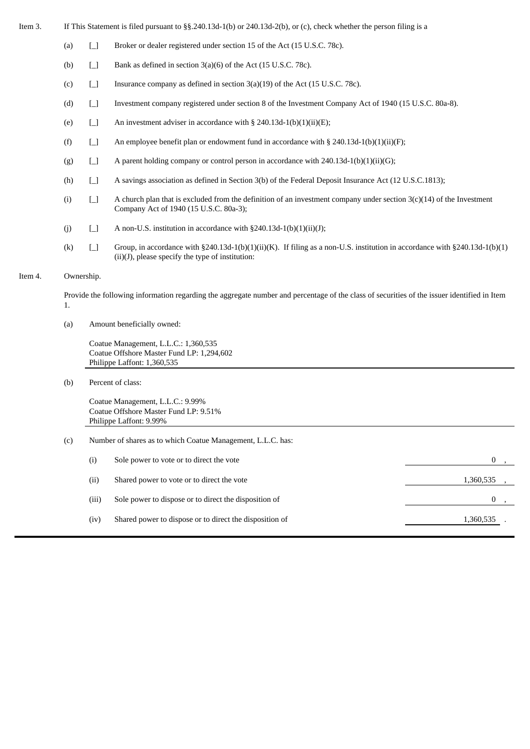- Item 3. If This Statement is filed pursuant to §§.240.13d-1(b) or 240.13d-2(b), or (c), check whether the person filing is a
	- (a)  $\Box$  Broker or dealer registered under section 15 of the Act (15 U.S.C. 78c).
	- (b)  $\Box$  Bank as defined in section 3(a)(6) of the Act (15 U.S.C. 78c).
	- (c)  $\Box$  Insurance company as defined in section 3(a)(19) of the Act (15 U.S.C. 78c).
	- (d) [\_] Investment company registered under section 8 of the Investment Company Act of 1940 (15 U.S.C. 80a-8).
	- (e)  $\Box$  An investment adviser in accordance with § 240.13d-1(b)(1)(ii)(E);
	- (f)  $\Box$  An employee benefit plan or endowment fund in accordance with § 240.13d-1(b)(1)(ii)(F);
	- (g)  $\Box$  A parent holding company or control person in accordance with 240.13d-1(b)(1)(ii)(G);
	- (h)  $\Box$  A savings association as defined in Section 3(b) of the Federal Deposit Insurance Act (12 U.S.C.1813);
	- (i)  $\Box$  A church plan that is excluded from the definition of an investment company under section 3(c)(14) of the Investment Company Act of 1940 (15 U.S.C. 80a-3);
	- (j)  $\Box$  A non-U.S. institution in accordance with §240.13d-1(b)(1)(ii)(J);
	- (k)  $\Box$  Group, in accordance with §240.13d-1(b)(1)(ii)(K). If filing as a non-U.S. institution in accordance with §240.13d-1(b)(1)  $(ii)(J)$ , please specify the type of institution:

## Item 4. Ownership.

Provide the following information regarding the aggregate number and percentage of the class of securities of the issuer identified in Item 1.

(a) Amount beneficially owned:

Coatue Management, L.L.C.: 1,360,535 Coatue Offshore Master Fund LP: 1,294,602 Philippe Laffont: 1,360,535

(b) Percent of class:

Coatue Management, L.L.C.: 9.99% Coatue Offshore Master Fund LP: 9.51% Philippe Laffont: 9.99%

| (c) | Number of shares as to which Coatue Management, L.L.C. has: |                                                         |           |  |
|-----|-------------------------------------------------------------|---------------------------------------------------------|-----------|--|
|     | (i)                                                         | Sole power to vote or to direct the vote                |           |  |
|     | (ii)                                                        | Shared power to vote or to direct the vote              | 1,360,535 |  |
|     | (iii)                                                       | Sole power to dispose or to direct the disposition of   |           |  |
|     | (iv)                                                        | Shared power to dispose or to direct the disposition of | 1,360,535 |  |
|     |                                                             |                                                         |           |  |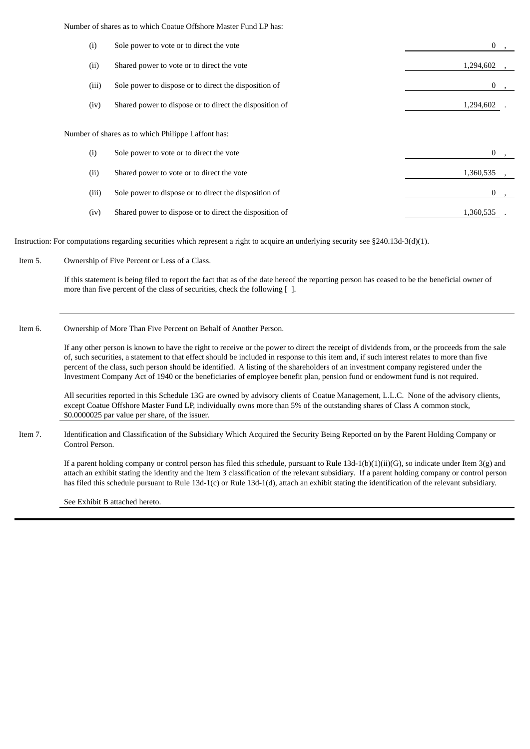Number of shares as to which Coatue Offshore Master Fund LP has:

| (i)                                                | Sole power to vote or to direct the vote                | 0         |  |  |
|----------------------------------------------------|---------------------------------------------------------|-----------|--|--|
| (ii)                                               | Shared power to vote or to direct the vote              | 1,294,602 |  |  |
| (iii)                                              | Sole power to dispose or to direct the disposition of   | 0         |  |  |
| (iv)                                               | Shared power to dispose or to direct the disposition of | 1,294,602 |  |  |
| Number of shares as to which Philippe Laffont has: |                                                         |           |  |  |
| (i)                                                | Sole power to vote or to direct the vote                | 0         |  |  |
| (ii)                                               | Shared power to vote or to direct the vote              | 1,360,535 |  |  |
| (iii)                                              | Sole power to dispose or to direct the disposition of   | 0         |  |  |
| (iv)                                               | Shared power to dispose or to direct the disposition of | 1,360,535 |  |  |

Instruction: For computations regarding securities which represent a right to acquire an underlying security see §240.13d-3(d)(1).

Item 5. Ownership of Five Percent or Less of a Class.

If this statement is being filed to report the fact that as of the date hereof the reporting person has ceased to be the beneficial owner of more than five percent of the class of securities, check the following  $\lceil \cdot \rceil$ .

#### Item 6. Ownership of More Than Five Percent on Behalf of Another Person.

If any other person is known to have the right to receive or the power to direct the receipt of dividends from, or the proceeds from the sale of, such securities, a statement to that effect should be included in response to this item and, if such interest relates to more than five percent of the class, such person should be identified. A listing of the shareholders of an investment company registered under the Investment Company Act of 1940 or the beneficiaries of employee benefit plan, pension fund or endowment fund is not required.

All securities reported in this Schedule 13G are owned by advisory clients of Coatue Management, L.L.C. None of the advisory clients, except Coatue Offshore Master Fund LP, individually owns more than 5% of the outstanding shares of Class A common stock, \$0.0000025 par value per share, of the issuer.

Item 7. Identification and Classification of the Subsidiary Which Acquired the Security Being Reported on by the Parent Holding Company or Control Person.

If a parent holding company or control person has filed this schedule, pursuant to Rule 13d-1(b)(1)(ii)(G), so indicate under Item 3(g) and attach an exhibit stating the identity and the Item 3 classification of the relevant subsidiary. If a parent holding company or control person has filed this schedule pursuant to Rule 13d-1(c) or Rule 13d-1(d), attach an exhibit stating the identification of the relevant subsidiary.

See Exhibit B attached hereto.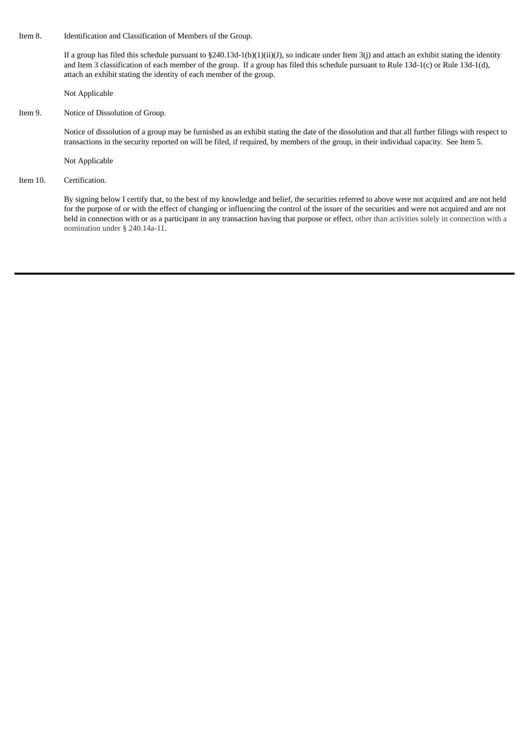Item 8. Identification and Classification of Members of the Group.

If a group has filed this schedule pursuant to  $\S240.13d-1(b)(1)(ii)(J)$ , so indicate under Item 3(j) and attach an exhibit stating the identity and Item 3 classification of each member of the group. If a group has filed this schedule pursuant to Rule 13d-1(c) or Rule 13d-1(d), attach an exhibit stating the identity of each member of the group.

Not Applicable

Item 9. Notice of Dissolution of Group.

Notice of dissolution of a group may be furnished as an exhibit stating the date of the dissolution and that all further filings with respect to transactions in the security reported on will be filed, if required, by members of the group, in their individual capacity. See Item 5.

Not Applicable

Item 10. Certification.

By signing below I certify that, to the best of my knowledge and belief, the securities referred to above were not acquired and are not held for the purpose of or with the effect of changing or influencing the control of the issuer of the securities and were not acquired and are not held in connection with or as a participant in any transaction having that purpose or effect, other than activities solely in connection with a nomination under § 240.14a-11.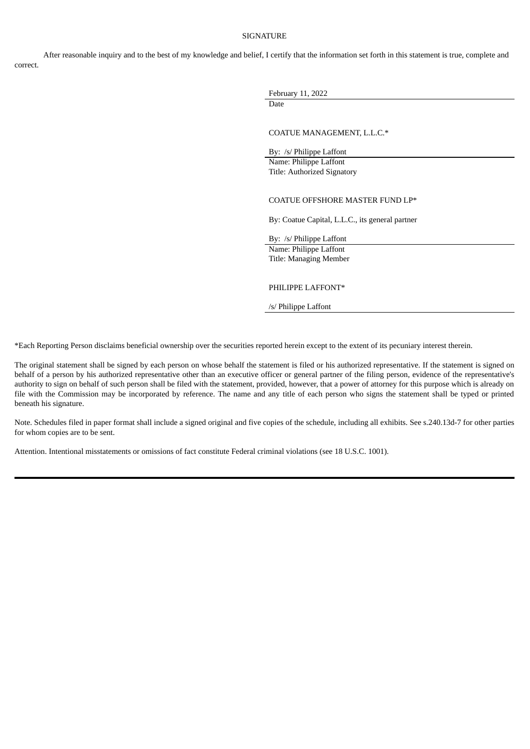## SIGNATURE

After reasonable inquiry and to the best of my knowledge and belief, I certify that the information set forth in this statement is true, complete and correct.

> February 11, 2022 Date

COATUE MANAGEMENT, L.L.C.\*

By: /s/ Philippe Laffont Name: Philippe Laffont Title: Authorized Signatory

#### COATUE OFFSHORE MASTER FUND LP\*

By: Coatue Capital, L.L.C., its general partner

By: /s/ Philippe Laffont

Name: Philippe Laffont Title: Managing Member

## PHILIPPE LAFFONT\*

/s/ Philippe Laffont

\*Each Reporting Person disclaims beneficial ownership over the securities reported herein except to the extent of its pecuniary interest therein.

The original statement shall be signed by each person on whose behalf the statement is filed or his authorized representative. If the statement is signed on behalf of a person by his authorized representative other than an executive officer or general partner of the filing person, evidence of the representative's authority to sign on behalf of such person shall be filed with the statement, provided, however, that a power of attorney for this purpose which is already on file with the Commission may be incorporated by reference. The name and any title of each person who signs the statement shall be typed or printed beneath his signature.

Note. Schedules filed in paper format shall include a signed original and five copies of the schedule, including all exhibits. See s.240.13d-7 for other parties for whom copies are to be sent.

Attention. Intentional misstatements or omissions of fact constitute Federal criminal violations (see 18 U.S.C. 1001).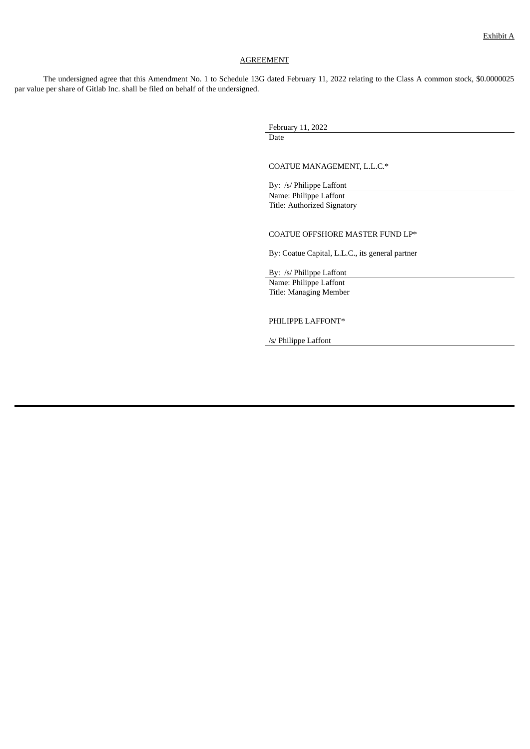# AGREEMENT

The undersigned agree that this Amendment No. 1 to Schedule 13G dated February 11, 2022 relating to the Class A common stock, \$0.0000025 par value per share of Gitlab Inc. shall be filed on behalf of the undersigned.

> February 11, 2022 Date

COATUE MANAGEMENT, L.L.C.\*

By: /s/ Philippe Laffont Name: Philippe Laffont Title: Authorized Signatory

COATUE OFFSHORE MASTER FUND LP\*

By: Coatue Capital, L.L.C., its general partner

By: /s/ Philippe Laffont

Name: Philippe Laffont Title: Managing Member

PHILIPPE LAFFONT\*

/s/ Philippe Laffont